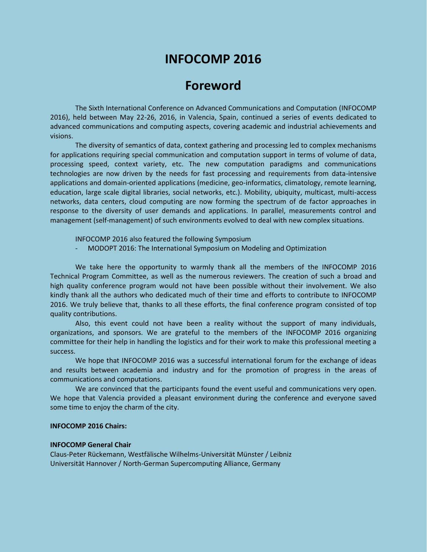# **INFOCOMP 2016**

## **Foreword**

The Sixth International Conference on Advanced Communications and Computation (INFOCOMP 2016), held between May 22-26, 2016, in Valencia, Spain, continued a series of events dedicated to advanced communications and computing aspects, covering academic and industrial achievements and visions.

The diversity of semantics of data, context gathering and processing led to complex mechanisms for applications requiring special communication and computation support in terms of volume of data, processing speed, context variety, etc. The new computation paradigms and communications technologies are now driven by the needs for fast processing and requirements from data-intensive applications and domain-oriented applications (medicine, geo-informatics, climatology, remote learning, education, large scale digital libraries, social networks, etc.). Mobility, ubiquity, multicast, multi-access networks, data centers, cloud computing are now forming the spectrum of de factor approaches in response to the diversity of user demands and applications. In parallel, measurements control and management (self-management) of such environments evolved to deal with new complex situations.

INFOCOMP 2016 also featured the following Symposium

- MODOPT 2016: The International Symposium on Modeling and Optimization

We take here the opportunity to warmly thank all the members of the INFOCOMP 2016 Technical Program Committee, as well as the numerous reviewers. The creation of such a broad and high quality conference program would not have been possible without their involvement. We also kindly thank all the authors who dedicated much of their time and efforts to contribute to INFOCOMP 2016. We truly believe that, thanks to all these efforts, the final conference program consisted of top quality contributions.

Also, this event could not have been a reality without the support of many individuals, organizations, and sponsors. We are grateful to the members of the INFOCOMP 2016 organizing committee for their help in handling the logistics and for their work to make this professional meeting a success.

We hope that INFOCOMP 2016 was a successful international forum for the exchange of ideas and results between academia and industry and for the promotion of progress in the areas of communications and computations.

We are convinced that the participants found the event useful and communications very open. We hope that Valencia provided a pleasant environment during the conference and everyone saved some time to enjoy the charm of the city.

#### **INFOCOMP 2016 Chairs:**

#### **INFOCOMP General Chair**

Claus-Peter Rückemann, Westfälische Wilhelms-Universität Münster / Leibniz Universität Hannover / North-German Supercomputing Alliance, Germany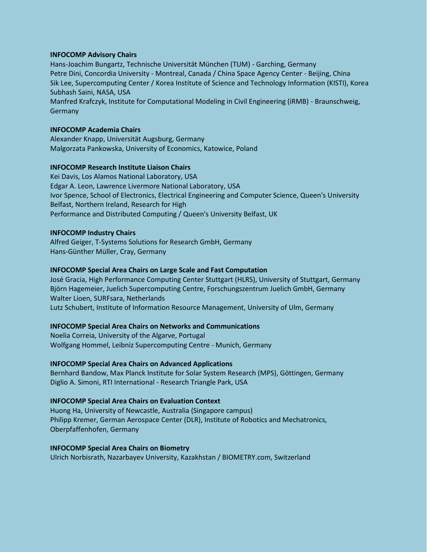#### **INFOCOMP Advisory Chairs**

Hans-Joachim Bungartz, Technische Universität München (TUM) - Garching, Germany Petre Dini, Concordia University - Montreal, Canada / China Space Agency Center - Beijing, China Sik Lee, Supercomputing Center / Korea Institute of Science and Technology Information (KISTI), Korea Subhash Saini, NASA, USA Manfred Krafczyk, Institute for Computational Modeling in Civil Engineering (iRMB) - Braunschweig, Germany

#### **INFOCOMP Academia Chairs**

Alexander Knapp, Universität Augsburg, Germany Malgorzata Pankowska, University of Economics, Katowice, Poland

#### **INFOCOMP Research Institute Liaison Chairs**

Kei Davis, Los Alamos National Laboratory, USA Edgar A. Leon, Lawrence Livermore National Laboratory, USA Ivor Spence, School of Electronics, Electrical Engineering and Computer Science, Queen's University Belfast, Northern Ireland, Research for High Performance and Distributed Computing / Queen's University Belfast, UK

#### **INFOCOMP Industry Chairs**

Alfred Geiger, T-Systems Solutions for Research GmbH, Germany Hans-Günther Müller, Cray, Germany

#### **INFOCOMP Special Area Chairs on Large Scale and Fast Computation**

José Gracia, High Performance Computing Center Stuttgart (HLRS), University of Stuttgart, Germany Björn Hagemeier, Juelich Supercomputing Centre, Forschungszentrum Juelich GmbH, Germany Walter Lioen, SURFsara, Netherlands Lutz Schubert, Institute of Information Resource Management, University of Ulm, Germany

#### **INFOCOMP Special Area Chairs on Networks and Communications**

Noelia Correia, University of the Algarve, Portugal Wolfgang Hommel, Leibniz Supercomputing Centre - Munich, Germany

#### **INFOCOMP Special Area Chairs on Advanced Applications**

Bernhard Bandow, Max Planck Institute for Solar System Research (MPS), Göttingen, Germany Diglio A. Simoni, RTI International - Research Triangle Park, USA

#### **INFOCOMP Special Area Chairs on Evaluation Context**

Huong Ha, University of Newcastle, Australia (Singapore campus) Philipp Kremer, German Aerospace Center (DLR), Institute of Robotics and Mechatronics, Oberpfaffenhofen, Germany

#### **INFOCOMP Special Area Chairs on Biometry**

Ulrich Norbisrath, Nazarbayev University, Kazakhstan / BIOMETRY.com, Switzerland